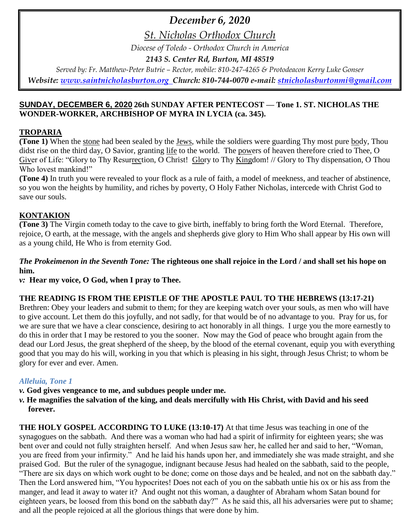# *December 6, 2020*

*St. Nicholas Orthodox Church*

*Diocese of Toledo - Orthodox Church in America*

*2143 S. Center Rd, Burton, MI 48519*

*Served by: Fr. Matthew-Peter Butrie – Rector, mobile: 810-247-4265 & Protodeacon Kerry Luke Gonser Website: [www.saintnicholasburton.org](http://www.saintnicholasburton.org/) Church: 810-744-0070 e-mail: [stnicholasburtonmi@gmail.com](mailto:stnicholasburtonmi@gmail.com)*

## **SUNDAY, DECEMBER 6, 2020 26th SUNDAY AFTER PENTECOST — Tone 1. ST. NICHOLAS THE WONDER-WORKER, ARCHBISHOP OF MYRA IN LYCIA (ca. 345).**

## **TROPARIA**

**(Tone 1)** When the stone had been sealed by the Jews, while the soldiers were guarding Thy most pure body, Thou didst rise on the third day, O Savior, granting life to the world. The powers of heaven therefore cried to Thee, O Giver of Life: "Glory to Thy Resurrection, O Christ! Glory to Thy Kingdom! // Glory to Thy dispensation, O Thou Who lovest mankind!"

**(Tone 4)** In truth you were revealed to your flock as a rule of faith, a model of meekness, and teacher of abstinence, so you won the heights by humility, and riches by poverty, O Holy Father Nicholas, intercede with Christ God to save our souls.

## **KONTAKION**

**(Tone 3)** The Virgin cometh today to the cave to give birth, ineffably to bring forth the Word Eternal. Therefore, rejoice, O earth, at the message, with the angels and shepherds give glory to Him Who shall appear by His own will as a young child, He Who is from eternity God.

## *The Prokeimenon in the Seventh Tone:* **The righteous one shall rejoice in the Lord / and shall set his hope on him.**

*v:* **Hear my voice, O God, when I pray to Thee.**

## **THE READING IS FROM THE EPISTLE OF THE APOSTLE PAUL TO THE HEBREWS (13:17-21)**

Brethren: Obey your leaders and submit to them; for they are keeping watch over your souls, as men who will have to give account. Let them do this joyfully, and not sadly, for that would be of no advantage to you. Pray for us, for we are sure that we have a clear conscience, desiring to act honorably in all things. I urge you the more earnestly to do this in order that I may be restored to you the sooner. Now may the God of peace who brought again from the dead our Lord Jesus, the great shepherd of the sheep, by the blood of the eternal covenant, equip you with everything good that you may do his will, working in you that which is pleasing in his sight, through Jesus Christ; to whom be glory for ever and ever. Amen.

## *Alleluia, Tone 1*

- *v.* **God gives vengeance to me, and subdues people under me.**
- *v.* **He magnifies the salvation of the king, and deals mercifully with His Christ, with David and his seed forever.**

**THE HOLY GOSPEL ACCORDING TO LUKE (13:10-17)** At that time Jesus was teaching in one of the synagogues on the sabbath. And there was a woman who had had a spirit of infirmity for eighteen years; she was bent over and could not fully straighten herself. And when Jesus saw her, he called her and said to her, "Woman, you are freed from your infirmity." And he laid his hands upon her, and immediately she was made straight, and she praised God. But the ruler of the synagogue, indignant because Jesus had healed on the sabbath, said to the people, "There are six days on which work ought to be done; come on those days and be healed, and not on the sabbath day." Then the Lord answered him, "You hypocrites! Does not each of you on the sabbath untie his ox or his ass from the manger, and lead it away to water it? And ought not this woman, a daughter of Abraham whom Satan bound for eighteen years, be loosed from this bond on the sabbath day?" As he said this, all his adversaries were put to shame; and all the people rejoiced at all the glorious things that were done by him.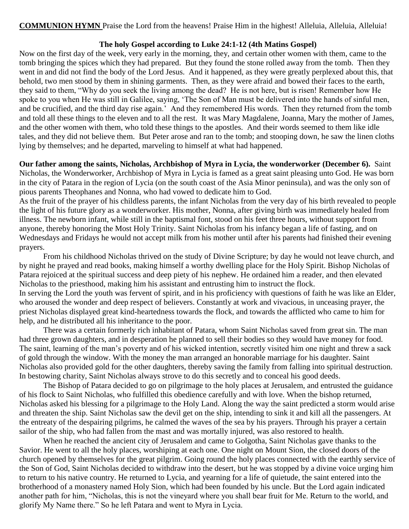**COMMUNION HYMN** Praise the Lord from the heavens! Praise Him in the highest! Alleluia, Alleluia, Alleluia!

### **The holy Gospel according to Luke 24:1-12 (4th Matins Gospel)**

Now on the first day of the week, very early in the morning, they, and certain other women with them, came to the tomb bringing the spices which they had prepared. But they found the stone rolled away from the tomb. Then they went in and did not find the body of the Lord Jesus. And it happened, as they were greatly perplexed about this, that behold, two men stood by them in shining garments. Then, as they were afraid and bowed their faces to the earth, they said to them, "Why do you seek the living among the dead? He is not here, but is risen! Remember how He spoke to you when He was still in Galilee, saying, 'The Son of Man must be delivered into the hands of sinful men, and be crucified, and the third day rise again.' And they remembered His words. Then they returned from the tomb and told all these things to the eleven and to all the rest. It was Mary Magdalene, Joanna, Mary the mother of James, and the other women with them, who told these things to the apostles. And their words seemed to them like idle tales, and they did not believe them. But Peter arose and ran to the tomb; and stooping down, he saw the linen cloths lying by themselves; and he departed, marveling to himself at what had happened.

**Our father among the saints, Nicholas, Archbishop of Myra in Lycia, the wonderworker (December 6).** Saint Nicholas, the Wonderworker, Archbishop of Myra in Lycia is famed as a great saint pleasing unto God. He was born in the city of Patara in the region of Lycia (on the south coast of the Asia Minor peninsula), and was the only son of pious parents Theophanes and Nonna, who had vowed to dedicate him to God.

As the fruit of the prayer of his childless parents, the infant Nicholas from the very day of his birth revealed to people the light of his future glory as a wonderworker. His mother, Nonna, after giving birth was immediately healed from illness. The newborn infant, while still in the baptismal font, stood on his feet three hours, without support from anyone, thereby honoring the Most Holy Trinity. Saint Nicholas from his infancy began a life of fasting, and on Wednesdays and Fridays he would not accept milk from his mother until after his parents had finished their evening prayers.

From his childhood Nicholas thrived on the study of Divine Scripture; by day he would not leave church, and by night he prayed and read books, making himself a worthy dwelling place for the Holy Spirit. Bishop Nicholas of Patara rejoiced at the spiritual success and deep piety of his nephew. He ordained him a reader, and then elevated Nicholas to the priesthood, making him his assistant and entrusting him to instruct the flock.

In serving the Lord the youth was fervent of spirit, and in his proficiency with questions of faith he was like an Elder, who aroused the wonder and deep respect of believers. Constantly at work and vivacious, in unceasing prayer, the priest Nicholas displayed great kind-heartedness towards the flock, and towards the afflicted who came to him for help, and he distributed all his inheritance to the poor.

There was a certain formerly rich inhabitant of Patara, whom Saint Nicholas saved from great sin. The man had three grown daughters, and in desperation he planned to sell their bodies so they would have money for food. The saint, learning of the man's poverty and of his wicked intention, secretly visited him one night and threw a sack of gold through the window. With the money the man arranged an honorable marriage for his daughter. Saint Nicholas also provided gold for the other daughters, thereby saving the family from falling into spiritual destruction. In bestowing charity, Saint Nicholas always strove to do this secretly and to conceal his good deeds.

The Bishop of Patara decided to go on pilgrimage to the holy places at Jerusalem, and entrusted the guidance of his flock to Saint Nicholas, who fulfilled this obedience carefully and with love. When the bishop returned, Nicholas asked his blessing for a pilgrimage to the Holy Land. Along the way the saint predicted a storm would arise and threaten the ship. Saint Nicholas saw the devil get on the ship, intending to sink it and kill all the passengers. At the entreaty of the despairing pilgrims, he calmed the waves of the sea by his prayers. Through his prayer a certain sailor of the ship, who had fallen from the mast and was mortally injured, was also restored to health.

When he reached the ancient city of Jerusalem and came to Golgotha, Saint Nicholas gave thanks to the Savior. He went to all the holy places, worshiping at each one. One night on Mount Sion, the closed doors of the church opened by themselves for the great pilgrim. Going round the holy places connected with the earthly service of the Son of God, Saint Nicholas decided to withdraw into the desert, but he was stopped by a divine voice urging him to return to his native country. He returned to Lycia, and yearning for a life of quietude, the saint entered into the brotherhood of a monastery named Holy Sion, which had been founded by his uncle. But the Lord again indicated another path for him, "Nicholas, this is not the vineyard where you shall bear fruit for Me. Return to the world, and glorify My Name there." So he left Patara and went to Myra in Lycia.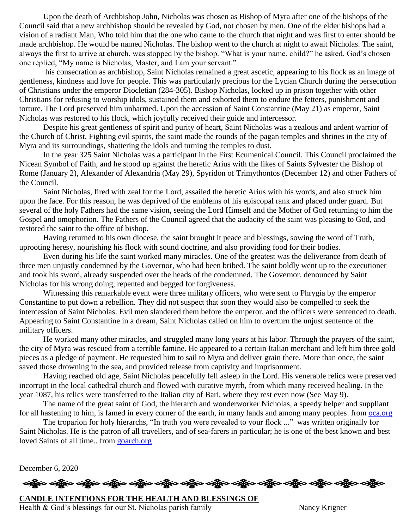Upon the death of Archbishop John, Nicholas was chosen as Bishop of Myra after one of the bishops of the Council said that a new archbishop should be revealed by God, not chosen by men. One of the elder bishops had a vision of a radiant Man, Who told him that the one who came to the church that night and was first to enter should be made archbishop. He would be named Nicholas. The bishop went to the church at night to await Nicholas. The saint, always the first to arrive at church, was stopped by the bishop. "What is your name, child?" he asked. God's chosen one replied, "My name is Nicholas, Master, and I am your servant."

his consecration as archbishop, Saint Nicholas remained a great ascetic, appearing to his flock as an image of gentleness, kindness and love for people. This was particularly precious for the Lycian Church during the persecution of Christians under the emperor Diocletian (284-305). Bishop Nicholas, locked up in prison together with other Christians for refusing to worship idols, sustained them and exhorted them to endure the fetters, punishment and torture. The Lord preserved him unharmed. Upon the accession of Saint Constantine (May 21) as emperor, Saint Nicholas was restored to his flock, which joyfully received their guide and intercessor.

Despite his great gentleness of spirit and purity of heart, Saint Nicholas was a zealous and ardent warrior of the Church of Christ. Fighting evil spirits, the saint made the rounds of the pagan temples and shrines in the city of Myra and its surroundings, shattering the idols and turning the temples to dust.

In the year 325 Saint Nicholas was a participant in the First Ecumenical Council. This Council proclaimed the Nicean Symbol of Faith, and he stood up against the heretic Arius with the likes of Saints Sylvester the Bishop of Rome (January 2), Alexander of Alexandria (May 29), Spyridon of Trimythontos (December 12) and other Fathers of the Council.

Saint Nicholas, fired with zeal for the Lord, assailed the heretic Arius with his words, and also struck him upon the face. For this reason, he was deprived of the emblems of his episcopal rank and placed under guard. But several of the holy Fathers had the same vision, seeing the Lord Himself and the Mother of God returning to him the Gospel and omophorion. The Fathers of the Council agreed that the audacity of the saint was pleasing to God, and restored the saint to the office of bishop.

Having returned to his own diocese, the saint brought it peace and blessings, sowing the word of Truth, uprooting heresy, nourishing his flock with sound doctrine, and also providing food for their bodies.

Even during his life the saint worked many miracles. One of the greatest was the deliverance from death of three men unjustly condemned by the Governor, who had been bribed. The saint boldly went up to the executioner and took his sword, already suspended over the heads of the condemned. The Governor, denounced by Saint Nicholas for his wrong doing, repented and begged for forgiveness.

Witnessing this remarkable event were three military officers, who were sent to Phrygia by the emperor Constantine to put down a rebellion. They did not suspect that soon they would also be compelled to seek the intercession of Saint Nicholas. Evil men slandered them before the emperor, and the officers were sentenced to death. Appearing to Saint Constantine in a dream, Saint Nicholas called on him to overturn the unjust sentence of the military officers.

He worked many other miracles, and struggled many long years at his labor. Through the prayers of the saint, the city of Myra was rescued from a terrible famine. He appeared to a certain Italian merchant and left him three gold pieces as a pledge of payment. He requested him to sail to Myra and deliver grain there. More than once, the saint saved those drowning in the sea, and provided release from captivity and imprisonment.

Having reached old age, Saint Nicholas peacefully fell asleep in the Lord. His venerable relics were preserved incorrupt in the local cathedral church and flowed with curative myrrh, from which many received healing. In the year 1087, his relics were transferred to the Italian city of Bari, where they rest even now (See May 9).

The name of the great saint of God, the hierarch and wonderworker Nicholas, a speedy helper and suppliant for all hastening to him, is famed in every corner of the earth, in many lands and among many peoples. from [oca.org](https://www.oca.org/saints/lives/2020/12/06/103484-saint-nicholas-the-wonderworker-archbishop-of-myra-in-lycia)

The troparion for holy hierarchs, "In truth you were revealed to your flock ..." was written originally for Saint Nicholas. He is the patron of all travellers, and of sea-farers in particular; he is one of the best known and best loved Saints of all time.. from [goarch.org](https://www.goarch.org/chapel/saints?contentid=325)

December 6, 2020

ခရွို့က ခရွိက သန္တို့က ခရွိက သန္တို့က ခရွိက ခရွိက ခရွိက ခရွိက သန္တို့က သန္တို့က ခရွိက ခရွိက ခရွိက

**CANDLE INTENTIONS FOR THE HEALTH AND BLESSINGS OF**  Health & God's blessings for our St. Nicholas parish family Nancy Krigner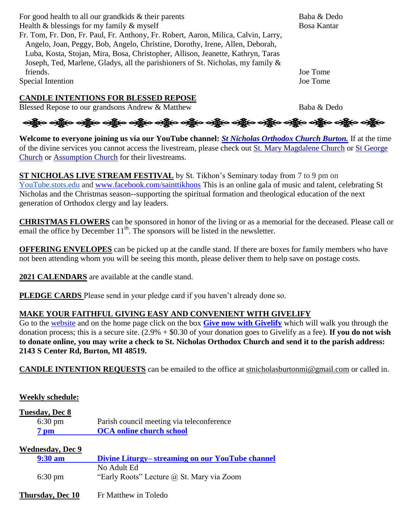For good health to all our grandkids & their parents Baba & Dedo

Health  $\&$  blessings for my family  $\&$  myself Bosa Kantar

Fr. Tom, Fr. Don, Fr. Paul, Fr. Anthony, Fr. Robert, Aaron, Milica, Calvin, Larry, Angelo, Joan, Peggy, Bob, Angelo, Christine, Dorothy, Irene, Allen, Deborah, Luba, Kosta, Stojan, Mira, Bosa, Christopher, Allison, Jeanette, Kathryn, Taras Joseph, Ted, Marlene, Gladys, all the parishioners of St. Nicholas, my family & friends. Joe Tome

Special Intention Joe Tome

**CANDLE INTENTIONS FOR BLESSED REPOSE**

Blessed Repose to our grandsons Andrew & Matthew Baba & Dedo



**Welcome to everyone joining us via our YouTube channel:** *[St Nicholas Orthodox Church Burton.](https://www.youtube.com/channel/UC59tV-Re443z-GCoETAUvfA)* If at the time of the divine services you cannot access the livestream, please check out [St. Mary Magdalene Church](https://www.youtube.com/channel/UClHAqZrWkXdYELujbbIslHg) or [St George](https://www.youtube.com/channel/UCpLWfxMIJK4uQOV41ekE6Wg/videos?view=2&flow=grid)  [Church](https://www.youtube.com/channel/UCpLWfxMIJK4uQOV41ekE6Wg/videos?view=2&flow=grid) or [Assumption Church](https://www.facebook.com/AssumptionGrandBlanc/) for their livestreams.

**ST NICHOLAS LIVE STREAM FESTIVAL** by St. Tikhon's Seminary today from 7 to 9 pm on [YouTube.stots.edu](http://youtube.stots.edu/) and [www.facebook.com/sainttikhons](http://www.facebook.com/sainttikhons) This is an online gala of music and talent, celebrating St Nicholas and the Christmas season--supporting the spiritual formation and theological education of the next generation of Orthodox clergy and lay leaders.

**CHRISTMAS FLOWERS** can be sponsored in honor of the living or as a memorial for the deceased. Please call or email the office by December  $11<sup>th</sup>$ . The sponsors will be listed in the newsletter.

**OFFERING ENVELOPES** can be picked up at the candle stand. If there are boxes for family members who have not been attending whom you will be seeing this month, please deliver them to help save on postage costs.

2021 CALENDARS are available at the candle stand.

**PLEDGE CARDS** Please send in your pledge card if you haven't already done so.

## **MAKE YOUR FAITHFUL GIVING EASY AND CONVENIENT WITH GIVELIFY**

Go to the [website](http://www.saintnicholasburton.org/) and on the home page click on the box **[Give now with Givelify](https://www.givelify.com/givenow/1.0/Mzc5MTg=/selection)** which will walk you through the donation process; this is a secure site. (2.9% + \$0.30 of your donation goes to Givelify as a fee). **If you do not wish to donate online, you may write a check to St. Nicholas Orthodox Church and send it to the parish address: 2143 S Center Rd, Burton, MI 48519.**

**CANDLE INTENTION REQUESTS** can be emailed to the office at [stnicholasburtonmi@gmail.com](mailto:stnicholasburtonmi@gmail.com) or called in.

## **Weekly schedule:**

## **Tuesday, Dec 8** 6:30 pm Parish council meeting via teleconference **7 pm [OCA online church school](https://www.oca.org/ocs)**  $W_{\text{R}}$

| Wednesdav, Dec 9  |                                                  |  |
|-------------------|--------------------------------------------------|--|
| $9:30 \text{ am}$ | Divine Liturgy– streaming on our YouTube channel |  |
|                   | No Adult Ed                                      |  |
| $6:30 \text{ pm}$ | "Early Roots" Lecture @ St. Mary via Zoom        |  |
|                   |                                                  |  |

## **Thursday, Dec 10** Fr Matthew in Toledo